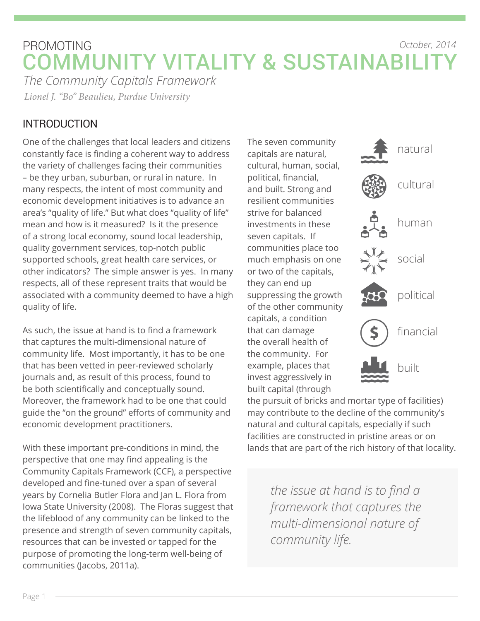### PROMOTING COMMUNITY VITALITY & SUSTAINABILIT *The Community Capitals Framework October, 2014*

*Lionel J. "Bo" Beaulieu, Purdue University*

### INTRODUCTION

One of the challenges that local leaders and citizens constantly face is finding a coherent way to address the variety of challenges facing their communities – be they urban, suburban, or rural in nature. In many respects, the intent of most community and economic development initiatives is to advance an area's "quality of life." But what does "quality of life" mean and how is it measured? Is it the presence of a strong local economy, sound local leadership, quality government services, top-notch public supported schools, great health care services, or other indicators? The simple answer is yes. In many respects, all of these represent traits that would be associated with a community deemed to have a high quality of life.

As such, the issue at hand is to find a framework that captures the multi-dimensional nature of community life. Most importantly, it has to be one that has been vetted in peer-reviewed scholarly journals and, as result of this process, found to be both scientifically and conceptually sound. Moreover, the framework had to be one that could guide the "on the ground" efforts of community and economic development practitioners.

With these important pre-conditions in mind, the perspective that one may find appealing is the Community Capitals Framework (CCF), a perspective developed and fine-tuned over a span of several years by Cornelia Butler Flora and Jan L. Flora from Iowa State University (2008). The Floras suggest that the lifeblood of any community can be linked to the presence and strength of seven community capitals, resources that can be invested or tapped for the purpose of promoting the long-term well-being of communities (Jacobs, 2011a).

The seven community capitals are natural, cultural, human, social, political, financial, and built. Strong and resilient communities strive for balanced investments in these seven capitals. If communities place too much emphasis on one or two of the capitals, they can end up suppressing the growth of the other community capitals, a condition that can damage the overall health of the community. For example, places that invest aggressively in built capital (through



the pursuit of bricks and mortar type of facilities) may contribute to the decline of the community's natural and cultural capitals, especially if such facilities are constructed in pristine areas or on lands that are part of the rich history of that locality.

> *the issue at hand is to find a framework that captures the multi-dimensional nature of community life.*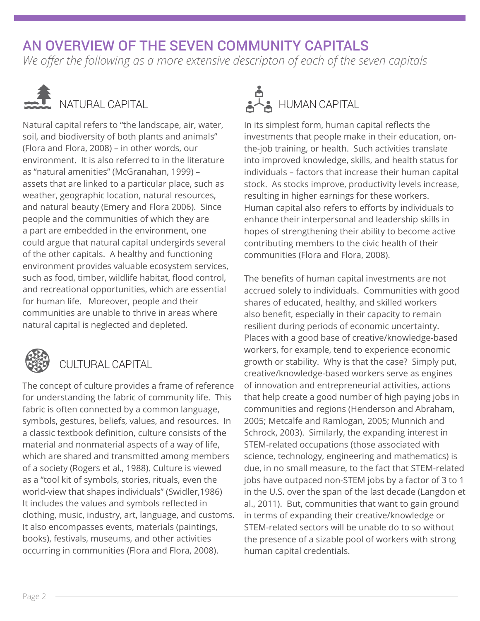## AN OVERVIEW OF THE SEVEN COMMUNITY CAPITALS

*We offer the following as a more extensive descripton of each of the seven capitals*



# NATURAL CAPITAL

Natural capital refers to "the landscape, air, water, soil, and biodiversity of both plants and animals" (Flora and Flora, 2008) – in other words, our environment. It is also referred to in the literature as "natural amenities" (McGranahan, 1999) – assets that are linked to a particular place, such as weather, geographic location, natural resources, and natural beauty (Emery and Flora 2006). Since people and the communities of which they are a part are embedded in the environment, one could argue that natural capital undergirds several of the other capitals. A healthy and functioning environment provides valuable ecosystem services, such as food, timber, wildlife habitat, flood control, and recreational opportunities, which are essential for human life. Moreover, people and their communities are unable to thrive in areas where natural capital is neglected and depleted.



### CULTURAL CAPITAL

The concept of culture provides a frame of reference for understanding the fabric of community life. This fabric is often connected by a common language, symbols, gestures, beliefs, values, and resources. In a classic textbook definition, culture consists of the material and nonmaterial aspects of a way of life, which are shared and transmitted among members of a society (Rogers et al., 1988). Culture is viewed as a "tool kit of symbols, stories, rituals, even the world-view that shapes individuals" (Swidler,1986) It includes the values and symbols reflected in clothing, music, industry, art, language, and customs. It also encompasses events, materials (paintings, books), festivals, museums, and other activities occurring in communities (Flora and Flora, 2008).



In its simplest form, human capital reflects the investments that people make in their education, onthe-job training, or health. Such activities translate into improved knowledge, skills, and health status for individuals – factors that increase their human capital stock. As stocks improve, productivity levels increase, resulting in higher earnings for these workers. Human capital also refers to efforts by individuals to enhance their interpersonal and leadership skills in hopes of strengthening their ability to become active contributing members to the civic health of their communities (Flora and Flora, 2008).

The benefits of human capital investments are not accrued solely to individuals. Communities with good shares of educated, healthy, and skilled workers also benefit, especially in their capacity to remain resilient during periods of economic uncertainty. Places with a good base of creative/knowledge-based workers, for example, tend to experience economic growth or stability. Why is that the case? Simply put, creative/knowledge-based workers serve as engines of innovation and entrepreneurial activities, actions that help create a good number of high paying jobs in communities and regions (Henderson and Abraham, 2005; Metcalfe and Ramlogan, 2005; Munnich and Schrock, 2003). Similarly, the expanding interest in STEM-related occupations (those associated with science, technology, engineering and mathematics) is due, in no small measure, to the fact that STEM-related jobs have outpaced non-STEM jobs by a factor of 3 to 1 in the U.S. over the span of the last decade (Langdon et al., 2011). But, communities that want to gain ground in terms of expanding their creative/knowledge or STEM-related sectors will be unable do to so without the presence of a sizable pool of workers with strong human capital credentials.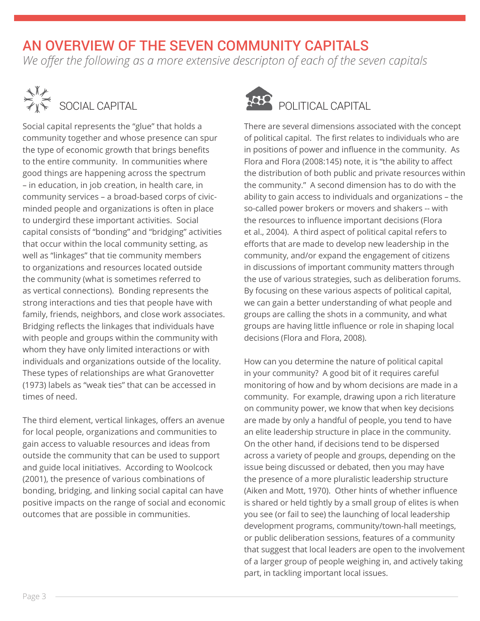# AN OVERVIEW OF THE SEVEN COMMUNITY CAPITALS

*We offer the following as a more extensive descripton of each of the seven capitals*



Social capital represents the "glue" that holds a community together and whose presence can spur the type of economic growth that brings benefits to the entire community. In communities where good things are happening across the spectrum – in education, in job creation, in health care, in community services – a broad-based corps of civicminded people and organizations is often in place to undergird these important activities. Social capital consists of "bonding" and "bridging" activities that occur within the local community setting, as well as "linkages" that tie community members to organizations and resources located outside the community (what is sometimes referred to as vertical connections). Bonding represents the strong interactions and ties that people have with family, friends, neighbors, and close work associates. Bridging reflects the linkages that individuals have with people and groups within the community with whom they have only limited interactions or with individuals and organizations outside of the locality. These types of relationships are what Granovetter (1973) labels as "weak ties" that can be accessed in times of need.

The third element, vertical linkages, offers an avenue for local people, organizations and communities to gain access to valuable resources and ideas from outside the community that can be used to support and guide local initiatives. According to Woolcock (2001), the presence of various combinations of bonding, bridging, and linking social capital can have positive impacts on the range of social and economic outcomes that are possible in communities.



There are several dimensions associated with the concept of political capital. The first relates to individuals who are in positions of power and influence in the community. As Flora and Flora (2008:145) note, it is "the ability to affect the distribution of both public and private resources within the community." A second dimension has to do with the ability to gain access to individuals and organizations – the so-called power brokers or movers and shakers -- with the resources to influence important decisions (Flora et al., 2004). A third aspect of political capital refers to efforts that are made to develop new leadership in the community, and/or expand the engagement of citizens in discussions of important community matters through the use of various strategies, such as deliberation forums. By focusing on these various aspects of political capital, we can gain a better understanding of what people and groups are calling the shots in a community, and what groups are having little influence or role in shaping local decisions (Flora and Flora, 2008).

How can you determine the nature of political capital in your community? A good bit of it requires careful monitoring of how and by whom decisions are made in a community. For example, drawing upon a rich literature on community power, we know that when key decisions are made by only a handful of people, you tend to have an elite leadership structure in place in the community. On the other hand, if decisions tend to be dispersed across a variety of people and groups, depending on the issue being discussed or debated, then you may have the presence of a more pluralistic leadership structure (Aiken and Mott, 1970). Other hints of whether influence is shared or held tightly by a small group of elites is when you see (or fail to see) the launching of local leadership development programs, community/town-hall meetings, or public deliberation sessions, features of a community that suggest that local leaders are open to the involvement of a larger group of people weighing in, and actively taking part, in tackling important local issues.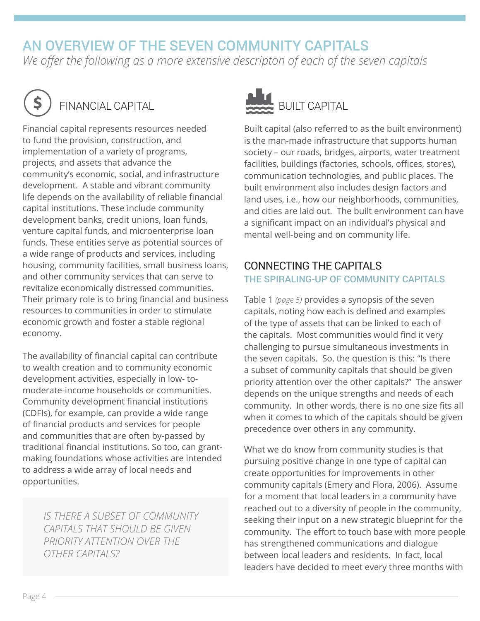### AN OVERVIEW OF THE SEVEN COMMUNITY CAPITALS

*We offer the following as a more extensive descripton of each of the seven capitals*



# FINANCIAL CAPITAL

Financial capital represents resources needed to fund the provision, construction, and implementation of a variety of programs, projects, and assets that advance the community's economic, social, and infrastructure development. A stable and vibrant community life depends on the availability of reliable financial capital institutions. These include community development banks, credit unions, loan funds, venture capital funds, and microenterprise loan funds. These entities serve as potential sources of a wide range of products and services, including housing, community facilities, small business loans, and other community services that can serve to revitalize economically distressed communities. Their primary role is to bring financial and business resources to communities in order to stimulate economic growth and foster a stable regional economy.

The availability of financial capital can contribute to wealth creation and to community economic development activities, especially in low- tomoderate-income households or communities. Community development financial institutions (CDFIs), for example, can provide a wide range of financial products and services for people and communities that are often by-passed by traditional financial institutions. So too, can grantmaking foundations whose activities are intended to address a wide array of local needs and opportunities.

*IS THERE A SUBSET OF COMMUNITY CAPITALS THAT SHOULD BE GIVEN PRIORITY ATTENTION OVER THE OTHER CAPITALS?* 



Built capital (also referred to as the built environment) is the man-made infrastructure that supports human society – our roads, bridges, airports, water treatment facilities, buildings (factories, schools, offices, stores), communication technologies, and public places. The built environment also includes design factors and land uses, i.e., how our neighborhoods, communities, and cities are laid out. The built environment can have a significant impact on an individual's physical and mental well-being and on community life.

#### CONNECTING THE CAPITALS THE SPIRALING-UP OF COMMUNITY CAPITALS

Table 1 *(page 5)* provides a synopsis of the seven capitals, noting how each is defined and examples of the type of assets that can be linked to each of the capitals. Most communities would find it very challenging to pursue simultaneous investments in the seven capitals. So, the question is this: "Is there a subset of community capitals that should be given priority attention over the other capitals?" The answer depends on the unique strengths and needs of each community. In other words, there is no one size fits all when it comes to which of the capitals should be given precedence over others in any community.

What we do know from community studies is that pursuing positive change in one type of capital can create opportunities for improvements in other community capitals (Emery and Flora, 2006). Assume for a moment that local leaders in a community have reached out to a diversity of people in the community, seeking their input on a new strategic blueprint for the community. The effort to touch base with more people has strengthened communications and dialogue between local leaders and residents. In fact, local leaders have decided to meet every three months with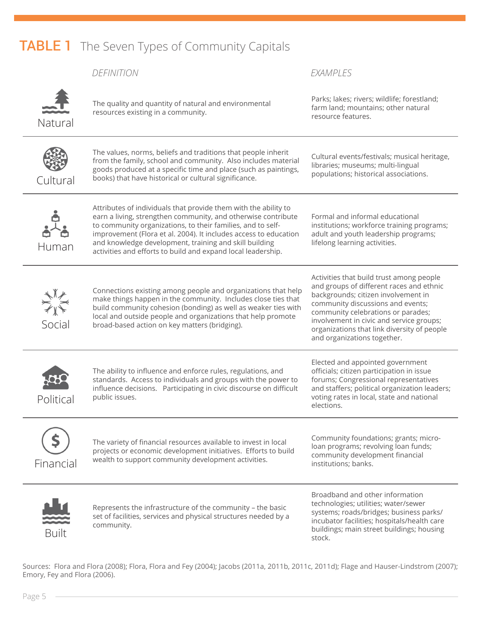# **TABLE 1** The Seven Types of Community Capitals

|              | <b>DEFINITION</b>                                                                                                                                                                                                                                                                                                                                                                             | EXAMPLES                                                                                                                                                                                                                                                                                                                         |
|--------------|-----------------------------------------------------------------------------------------------------------------------------------------------------------------------------------------------------------------------------------------------------------------------------------------------------------------------------------------------------------------------------------------------|----------------------------------------------------------------------------------------------------------------------------------------------------------------------------------------------------------------------------------------------------------------------------------------------------------------------------------|
| Natural      | The quality and quantity of natural and environmental<br>resources existing in a community.                                                                                                                                                                                                                                                                                                   | Parks; lakes; rivers; wildlife; forestland;<br>farm land; mountains; other natural<br>resource features.                                                                                                                                                                                                                         |
| Cultural     | The values, norms, beliefs and traditions that people inherit<br>from the family, school and community. Also includes material<br>goods produced at a specific time and place (such as paintings,<br>books) that have historical or cultural significance.                                                                                                                                    | Cultural events/festivals; musical heritage,<br>libraries; museums; multi-lingual<br>populations; historical associations.                                                                                                                                                                                                       |
| Human        | Attributes of individuals that provide them with the ability to<br>earn a living, strengthen community, and otherwise contribute<br>to community organizations, to their families, and to self-<br>improvement (Flora et al. 2004). It includes access to education<br>and knowledge development, training and skill building<br>activities and efforts to build and expand local leadership. | Formal and informal educational<br>institutions; workforce training programs;<br>adult and youth leadership programs;<br>lifelong learning activities.                                                                                                                                                                           |
| Social       | Connections existing among people and organizations that help<br>make things happen in the community. Includes close ties that<br>build community cohesion (bonding) as well as weaker ties with<br>local and outside people and organizations that help promote<br>broad-based action on key matters (bridging).                                                                             | Activities that build trust among people<br>and groups of different races and ethnic<br>backgrounds; citizen involvement in<br>community discussions and events;<br>community celebrations or parades;<br>involvement in civic and service groups;<br>organizations that link diversity of people<br>and organizations together. |
| Political    | The ability to influence and enforce rules, regulations, and<br>standards. Access to individuals and groups with the power to<br>influence decisions. Participating in civic discourse on difficult<br>public issues.                                                                                                                                                                         | Elected and appointed government<br>officials; citizen participation in issue<br>forums; Congressional representatives<br>and staffers; political organization leaders;<br>voting rates in local, state and national<br>elections.                                                                                               |
| Financial    | The variety of financial resources available to invest in local<br>projects or economic development initiatives. Efforts to build<br>wealth to support community development activities.                                                                                                                                                                                                      | Community foundations; grants; micro-<br>loan programs; revolving loan funds;<br>community development financial<br>institutions; banks.                                                                                                                                                                                         |
| <b>Built</b> | Represents the infrastructure of the community - the basic<br>set of facilities, services and physical structures needed by a<br>community.                                                                                                                                                                                                                                                   | Broadband and other information<br>technologies; utilities; water/sewer<br>systems; roads/bridges; business parks/<br>incubator facilities; hospitals/health care<br>buildings; main street buildings; housing<br>stock.                                                                                                         |

Sources: Flora and Flora (2008); Flora, Flora and Fey (2004); Jacobs (2011a, 2011b, 2011c, 2011d); Flage and Hauser-Lindstrom (2007); Emory, Fey and Flora (2006).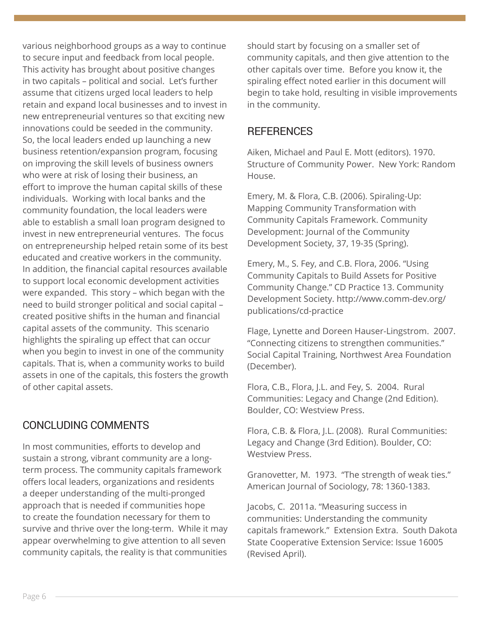various neighborhood groups as a way to continue to secure input and feedback from local people. This activity has brought about positive changes in two capitals – political and social. Let's further assume that citizens urged local leaders to help retain and expand local businesses and to invest in new entrepreneurial ventures so that exciting new innovations could be seeded in the community. So, the local leaders ended up launching a new business retention/expansion program, focusing on improving the skill levels of business owners who were at risk of losing their business, an effort to improve the human capital skills of these individuals. Working with local banks and the community foundation, the local leaders were able to establish a small loan program designed to invest in new entrepreneurial ventures. The focus on entrepreneurship helped retain some of its best educated and creative workers in the community. In addition, the financial capital resources available to support local economic development activities were expanded. This story – which began with the need to build stronger political and social capital – created positive shifts in the human and financial capital assets of the community. This scenario highlights the spiraling up effect that can occur when you begin to invest in one of the community capitals. That is, when a community works to build assets in one of the capitals, this fosters the growth of other capital assets.

### CONCLUDING COMMENTS

In most communities, efforts to develop and sustain a strong, vibrant community are a longterm process. The community capitals framework offers local leaders, organizations and residents a deeper understanding of the multi-pronged approach that is needed if communities hope to create the foundation necessary for them to survive and thrive over the long-term. While it may appear overwhelming to give attention to all seven community capitals, the reality is that communities should start by focusing on a smaller set of community capitals, and then give attention to the other capitals over time. Before you know it, the spiraling effect noted earlier in this document will begin to take hold, resulting in visible improvements in the community.

### **REFERENCES**

Aiken, Michael and Paul E. Mott (editors). 1970. Structure of Community Power. New York: Random House.

Emery, M. & Flora, C.B. (2006). Spiraling-Up: Mapping Community Transformation with Community Capitals Framework. Community Development: Journal of the Community Development Society, 37, 19-35 (Spring).

Emery, M., S. Fey, and C.B. Flora, 2006. "Using Community Capitals to Build Assets for Positive Community Change." CD Practice 13. Community Development Society. http://www.comm-dev.org/ publications/cd-practice

Flage, Lynette and Doreen Hauser-Lingstrom. 2007. "Connecting citizens to strengthen communities." Social Capital Training, Northwest Area Foundation (December).

Flora, C.B., Flora, J.L. and Fey, S. 2004. Rural Communities: Legacy and Change (2nd Edition). Boulder, CO: Westview Press.

Flora, C.B. & Flora, J.L. (2008). Rural Communities: Legacy and Change (3rd Edition). Boulder, CO: Westview Press.

Granovetter, M. 1973. "The strength of weak ties." American Journal of Sociology, 78: 1360-1383.

Jacobs, C. 2011a. "Measuring success in communities: Understanding the community capitals framework." Extension Extra. South Dakota State Cooperative Extension Service: Issue 16005 (Revised April).